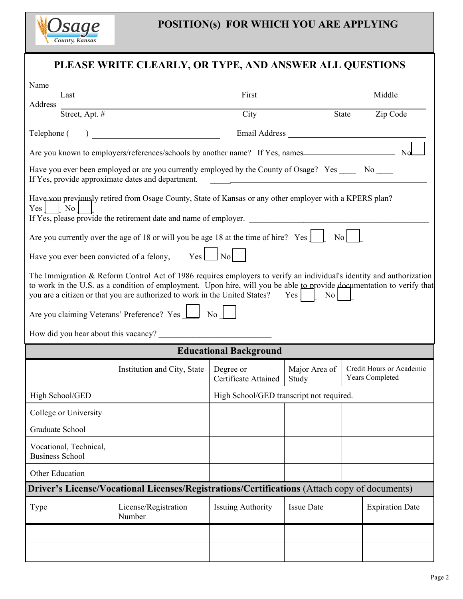

| PLEASE WRITE CLEARLY, OR TYPE, AND ANSWER ALL QUESTIONS                                                                                                                                                                                                                                                                                              |                                |                                          |                        |                                             |                        |  |  |
|------------------------------------------------------------------------------------------------------------------------------------------------------------------------------------------------------------------------------------------------------------------------------------------------------------------------------------------------------|--------------------------------|------------------------------------------|------------------------|---------------------------------------------|------------------------|--|--|
| Last                                                                                                                                                                                                                                                                                                                                                 |                                | First                                    |                        |                                             | Middle                 |  |  |
| Address                                                                                                                                                                                                                                                                                                                                              | Street, Apt. $#$               | City                                     |                        | State                                       | Zip Code               |  |  |
| Telephone (                                                                                                                                                                                                                                                                                                                                          |                                |                                          |                        |                                             |                        |  |  |
| Are you known to employers/references/schools by another name? If Yes, names                                                                                                                                                                                                                                                                         |                                |                                          |                        |                                             |                        |  |  |
| Have you ever been employed or are you currently employed by the County of Osage? Yes _____ No ____<br>If Yes, provide approximate dates and department.<br><u> 1980 - Johann Stoff, deutscher Stoffen und der Stoffen und der Stoffen und der Stoffen und der Stoffen und der</u>                                                                   |                                |                                          |                        |                                             |                        |  |  |
| Have vou previously retired from Osage County, State of Kansas or any other employer with a KPERS plan?<br>Yes<br>No<br>If Yes, please provide the retirement date and name of employer.                                                                                                                                                             |                                |                                          |                        |                                             |                        |  |  |
| Are you currently over the age of 18 or will you be age 18 at the time of hire? Yes  <br>$\overline{N_0}$                                                                                                                                                                                                                                            |                                |                                          |                        |                                             |                        |  |  |
| Have you ever been convicted of a felony, $Yes$ $\Box$ No                                                                                                                                                                                                                                                                                            |                                |                                          |                        |                                             |                        |  |  |
| The Immigration & Reform Control Act of 1986 requires employers to verify an individual's identity and authorization<br>to work in the U.S. as a condition of employment. Upon hire, will you be able to provide documentation to verify that<br>you are a citizen or that you are authorized to work in the United States? Yes [<br>No <sub>1</sub> |                                |                                          |                        |                                             |                        |  |  |
| Are you claiming Veterans' Preference? Yes 1 No                                                                                                                                                                                                                                                                                                      |                                |                                          |                        |                                             |                        |  |  |
| How did you hear about this vacancy?                                                                                                                                                                                                                                                                                                                 |                                |                                          |                        |                                             |                        |  |  |
| <b>Educational Background</b>                                                                                                                                                                                                                                                                                                                        |                                |                                          |                        |                                             |                        |  |  |
|                                                                                                                                                                                                                                                                                                                                                      | Institution and City, State    | Degree or<br>Certificate Attained        | Major Area of<br>Study | Credit Hours or Academic<br>Years Completed |                        |  |  |
| High School/GED                                                                                                                                                                                                                                                                                                                                      |                                | High School/GED transcript not required. |                        |                                             |                        |  |  |
| College or University                                                                                                                                                                                                                                                                                                                                |                                |                                          |                        |                                             |                        |  |  |
| Graduate School                                                                                                                                                                                                                                                                                                                                      |                                |                                          |                        |                                             |                        |  |  |
| Vocational, Technical,<br><b>Business School</b>                                                                                                                                                                                                                                                                                                     |                                |                                          |                        |                                             |                        |  |  |
| Other Education                                                                                                                                                                                                                                                                                                                                      |                                |                                          |                        |                                             |                        |  |  |
| Driver's License/Vocational Licenses/Registrations/Certifications (Attach copy of documents)                                                                                                                                                                                                                                                         |                                |                                          |                        |                                             |                        |  |  |
| Type                                                                                                                                                                                                                                                                                                                                                 | License/Registration<br>Number | <b>Issuing Authority</b>                 | <b>Issue Date</b>      |                                             | <b>Expiration Date</b> |  |  |
|                                                                                                                                                                                                                                                                                                                                                      |                                |                                          |                        |                                             |                        |  |  |
|                                                                                                                                                                                                                                                                                                                                                      |                                |                                          |                        |                                             |                        |  |  |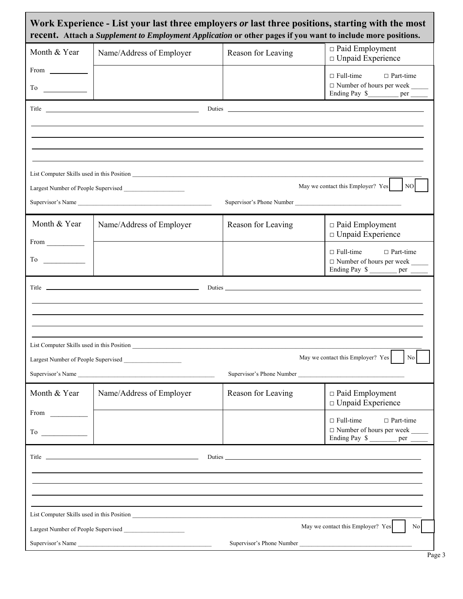| Work Experience - List your last three employers or last three positions, starting with the most<br>recent. Attach a Supplement to Employment Application or other pages if you want to include more positions.                                                                                                                                                                                                                                                        |                                                                                                                                                                                                                                      |                           |                                                                                                                 |  |  |  |  |  |
|------------------------------------------------------------------------------------------------------------------------------------------------------------------------------------------------------------------------------------------------------------------------------------------------------------------------------------------------------------------------------------------------------------------------------------------------------------------------|--------------------------------------------------------------------------------------------------------------------------------------------------------------------------------------------------------------------------------------|---------------------------|-----------------------------------------------------------------------------------------------------------------|--|--|--|--|--|
| Month & Year                                                                                                                                                                                                                                                                                                                                                                                                                                                           | Name/Address of Employer                                                                                                                                                                                                             | Reason for Leaving        | $\Box$ Paid Employment<br>$\Box$ Unpaid Experience                                                              |  |  |  |  |  |
|                                                                                                                                                                                                                                                                                                                                                                                                                                                                        |                                                                                                                                                                                                                                      |                           | $\Box$ Full-time<br>$\Box$ Part-time<br>□ Number of hours per week _____<br>Ending Pay \$___________ per ______ |  |  |  |  |  |
| Title <u>and the series of the series of the series of the series of the series of the series of the series of the series of the series of the series of the series of the series of the series of the series of the series of t</u><br>Duties and the contract of the contract of the contract of the contract of the contract of the contract of the contract of the contract of the contract of the contract of the contract of the contract of the contract of the |                                                                                                                                                                                                                                      |                           |                                                                                                                 |  |  |  |  |  |
|                                                                                                                                                                                                                                                                                                                                                                                                                                                                        |                                                                                                                                                                                                                                      |                           |                                                                                                                 |  |  |  |  |  |
|                                                                                                                                                                                                                                                                                                                                                                                                                                                                        |                                                                                                                                                                                                                                      |                           |                                                                                                                 |  |  |  |  |  |
|                                                                                                                                                                                                                                                                                                                                                                                                                                                                        |                                                                                                                                                                                                                                      |                           |                                                                                                                 |  |  |  |  |  |
| May we contact this Employer? Yes<br>NO                                                                                                                                                                                                                                                                                                                                                                                                                                |                                                                                                                                                                                                                                      |                           |                                                                                                                 |  |  |  |  |  |
| Supervisor's Name<br>Supervisor's Phone Number                                                                                                                                                                                                                                                                                                                                                                                                                         |                                                                                                                                                                                                                                      |                           |                                                                                                                 |  |  |  |  |  |
| Month & Year                                                                                                                                                                                                                                                                                                                                                                                                                                                           | Name/Address of Employer                                                                                                                                                                                                             | Reason for Leaving        | $\Box$ Paid Employment<br>$\Box$ Unpaid Experience                                                              |  |  |  |  |  |
| $From \_$                                                                                                                                                                                                                                                                                                                                                                                                                                                              |                                                                                                                                                                                                                                      |                           | $\Box$ Full-time $\Box$ Part-time                                                                               |  |  |  |  |  |
|                                                                                                                                                                                                                                                                                                                                                                                                                                                                        |                                                                                                                                                                                                                                      |                           | □ Number of hours per week _____<br>Ending Pay \$                                                               |  |  |  |  |  |
| Title <u>in the series of the series of the series of the series of the series of the series of the series of the series of the series of the series of the series of the series of the series of the series of the series of th</u>                                                                                                                                                                                                                                   |                                                                                                                                                                                                                                      |                           |                                                                                                                 |  |  |  |  |  |
|                                                                                                                                                                                                                                                                                                                                                                                                                                                                        |                                                                                                                                                                                                                                      |                           |                                                                                                                 |  |  |  |  |  |
|                                                                                                                                                                                                                                                                                                                                                                                                                                                                        |                                                                                                                                                                                                                                      |                           |                                                                                                                 |  |  |  |  |  |
| List Computer Skills used in this Position                                                                                                                                                                                                                                                                                                                                                                                                                             |                                                                                                                                                                                                                                      |                           |                                                                                                                 |  |  |  |  |  |
| May we contact this Employer? Yes<br>No<br>Largest Number of People Supervised                                                                                                                                                                                                                                                                                                                                                                                         |                                                                                                                                                                                                                                      |                           |                                                                                                                 |  |  |  |  |  |
|                                                                                                                                                                                                                                                                                                                                                                                                                                                                        | Supervisor's Name                                                                                                                                                                                                                    | Supervisor's Phone Number |                                                                                                                 |  |  |  |  |  |
| Month & Year                                                                                                                                                                                                                                                                                                                                                                                                                                                           | Name/Address of Employer                                                                                                                                                                                                             | Reason for Leaving        | $\Box$ Paid Employment<br>$\Box$ Unpaid Experience                                                              |  |  |  |  |  |
| From $\qquad \qquad$                                                                                                                                                                                                                                                                                                                                                                                                                                                   |                                                                                                                                                                                                                                      |                           | $\Box$ Full-time<br>$\Box$ Part-time                                                                            |  |  |  |  |  |
|                                                                                                                                                                                                                                                                                                                                                                                                                                                                        |                                                                                                                                                                                                                                      |                           | $\Box$ Number of hours per week<br>Ending Pay \$ __________ per _______                                         |  |  |  |  |  |
|                                                                                                                                                                                                                                                                                                                                                                                                                                                                        | Title <u>the same of the same of the same of the same of the same of the same of the same of the same of the same of the same of the same of the same of the same of the same of the same of the same of the same of the same of</u> |                           |                                                                                                                 |  |  |  |  |  |
|                                                                                                                                                                                                                                                                                                                                                                                                                                                                        |                                                                                                                                                                                                                                      |                           |                                                                                                                 |  |  |  |  |  |
|                                                                                                                                                                                                                                                                                                                                                                                                                                                                        |                                                                                                                                                                                                                                      |                           |                                                                                                                 |  |  |  |  |  |
|                                                                                                                                                                                                                                                                                                                                                                                                                                                                        |                                                                                                                                                                                                                                      |                           |                                                                                                                 |  |  |  |  |  |
| May we contact this Employer? Yes<br>No<br>Largest Number of People Supervised                                                                                                                                                                                                                                                                                                                                                                                         |                                                                                                                                                                                                                                      |                           |                                                                                                                 |  |  |  |  |  |
| Supervisor's Phone Number<br>Supervisor's Name                                                                                                                                                                                                                                                                                                                                                                                                                         |                                                                                                                                                                                                                                      |                           |                                                                                                                 |  |  |  |  |  |